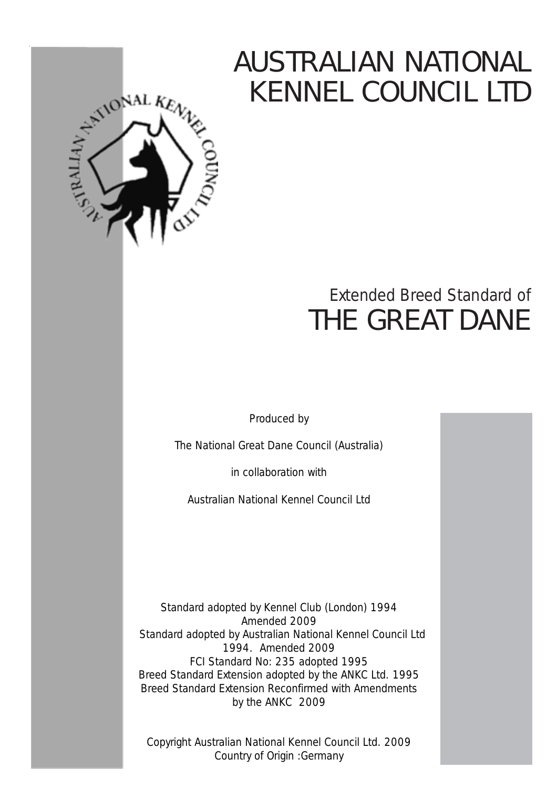# AUSTRALIAN NATIONAL KENNEL COUNCIL LTD



## Extended Breed Standard of THE GREAT DANE

Produced by

The National Great Dane Council (Australia)

in collaboration with

Australian National Kennel Council Ltd

Standard adopted by Kennel Club (London) 1994 Amended 2009 Standard adopted by Australian National Kennel Council Ltd 1994. Amended 2009 FCI Standard No: 235 adopted 1995 Breed Standard Extension adopted by the ANKC Ltd. 1995 Breed Standard Extension Reconfirmed with Amendments by the ANKC 2009

Copyright Australian National Kennel Council Ltd. 2009 Country of Origin :Germany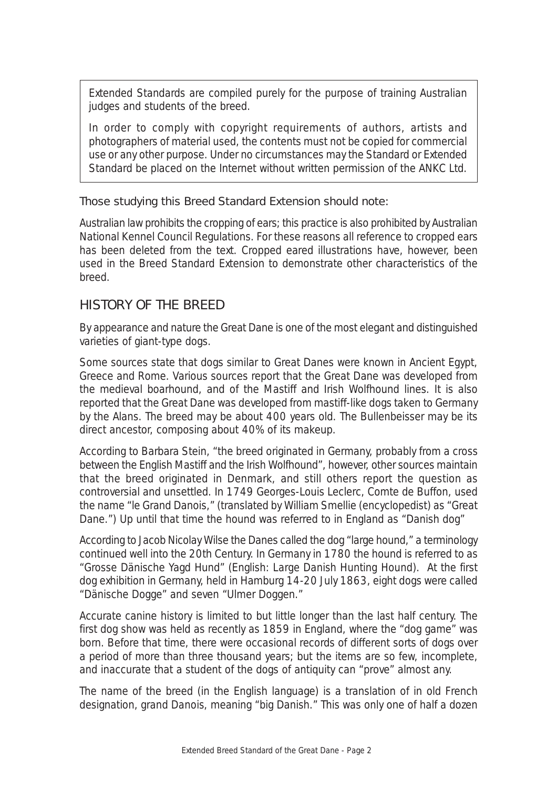Extended Standards are compiled purely for the purpose of training Australian judges and students of the breed.

In order to comply with copyright requirements of authors, artists and photographers of material used, the contents must not be copied for commercial use or any other purpose. Under no circumstances may the Standard or Extended Standard be placed on the Internet without written permission of the ANKC Ltd.

#### Those studying this Breed Standard Extension should note:

Australian law prohibits the cropping of ears; this practice is also prohibited by Australian National Kennel Council Regulations. For these reasons all reference to cropped ears has been deleted from the text. Cropped eared illustrations have, however, been used in the Breed Standard Extension to demonstrate other characteristics of the breed.

## HISTORY OF THE BREED

By appearance and nature the Great Dane is one of the most elegant and distinguished varieties of giant-type dogs.

Some sources state that dogs similar to Great Danes were known in Ancient Egypt, Greece and Rome. Various sources report that the Great Dane was developed from the medieval boarhound, and of the Mastiff and Irish Wolfhound lines. It is also reported that the Great Dane was developed from mastiff-like dogs taken to Germany by the Alans. The breed may be about 400 years old. The Bullenbeisser may be its direct ancestor, composing about 40% of its makeup.

According to Barbara Stein, "the breed originated in Germany, probably from a cross between the English Mastiff and the Irish Wolfhound", however, other sources maintain that the breed originated in Denmark, and still others report the question as controversial and unsettled. In 1749 Georges-Louis Leclerc, Comte de Buffon, used the name "le Grand Danois," (translated by William Smellie (encyclopedist) as "Great Dane.") Up until that time the hound was referred to in England as "Danish dog"

According to Jacob Nicolay Wilse the Danes called the dog "large hound," a terminology continued well into the 20th Century. In Germany in 1780 the hound is referred to as "Grosse Dänische Yagd Hund" (English: *Large Danish Hunting Hound*). At the first dog exhibition in Germany, held in Hamburg 14-20 July 1863, eight dogs were called "Dänische Dogge" and seven "Ulmer Doggen."

Accurate canine history is limited to but little longer than the last half century. The first dog show was held as recently as 1859 in England, where the "dog game" was born. Before that time, there were occasional records of different sorts of dogs over a period of more than three thousand years; but the items are so few, incomplete, and inaccurate that a student of the dogs of antiquity can "prove" almost any.

The name of the breed (in the English language) is a translation of in old French designation, *grand Danois,* meaning "big Danish." This was only one of half a dozen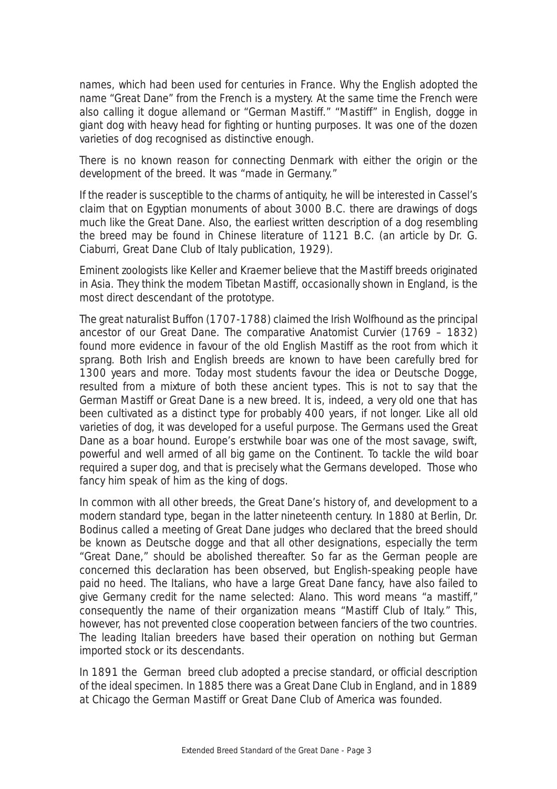names, which had been used for centuries in France. Why the English adopted the name "Great Dane" from the French is a mystery. At the same time the French were also calling it d*ogue allemand* or "German Mastiff." "Mastiff" in English, dogge in giant dog with heavy head for fighting or hunting purposes. It was one of the dozen varieties of dog recognised as distinctive enough.

There is no known reason for connecting Denmark with either the origin or the development of the breed. It was "made in Germany."

If the reader is susceptible to the charms of antiquity, he will be interested in Cassel's claim that on Egyptian monuments of about 3000 B.C. there are drawings of dogs much like the Great Dane. Also, the earliest written description of a dog resembling the breed may be found in Chinese literature of 1121 B.C. (an article by Dr. G. Ciaburri, Great Dane Club of Italy publication, 1929).

Eminent zoologists like Keller and Kraemer believe that the Mastiff breeds originated in Asia. They think the modem Tibetan Mastiff, occasionally shown in England, is the most direct descendant of the prototype.

The great naturalist Buffon (1707-1788) claimed the Irish Wolfhound as the principal ancestor of our Great Dane. The comparative Anatomist Curvier (1769 – 1832) found more evidence in favour of the old English Mastiff as the root from which it sprang. Both Irish and English breeds are known to have been carefully bred for 1300 years and more. Today most students favour the idea or Deutsche Dogge, resulted from a mixture of both these ancient types. This is not to say that the German Mastiff or Great Dane is a new breed. It is, indeed, a very old one that has been cultivated as a distinct type for probably 400 years, if not longer. Like all old varieties of dog, it was developed for a useful purpose. The Germans used the Great Dane as a boar hound. Europe's erstwhile boar was one of the most savage, swift, powerful and well armed of all big game on the Continent. To tackle the wild boar required a super dog, and that is precisely what the Germans developed. Those who fancy him speak of him as the king of dogs.

In common with all other breeds, the Great Dane's history of, and development to a modern standard type, began in the latter nineteenth century. In 1880 at Berlin, Dr. Bodinus called a meeting of Great Dane judges who declared that the breed should be known as *Deutsche dogge* and that all other designations, especially the term "Great Dane," should be abolished thereafter. So far as the German people are concerned this declaration has been observed, but English-speaking people have paid no heed. The Italians, who have a large Great Dane fancy, have also failed to give Germany credit for the name selected: Alano. This word means "a mastiff," consequently the name of their organization means "Mastiff Club of Italy." This, however, has not prevented close cooperation between fanciers of the two countries. The leading Italian breeders have based their operation on nothing but German imported stock or its descendants.

In 1891 the German breed club adopted a precise standard, or official description of the ideal specimen. In 1885 there was a Great Dane Club in England, and in 1889 at Chicago the German Mastiff or Great Dane Club of America was founded.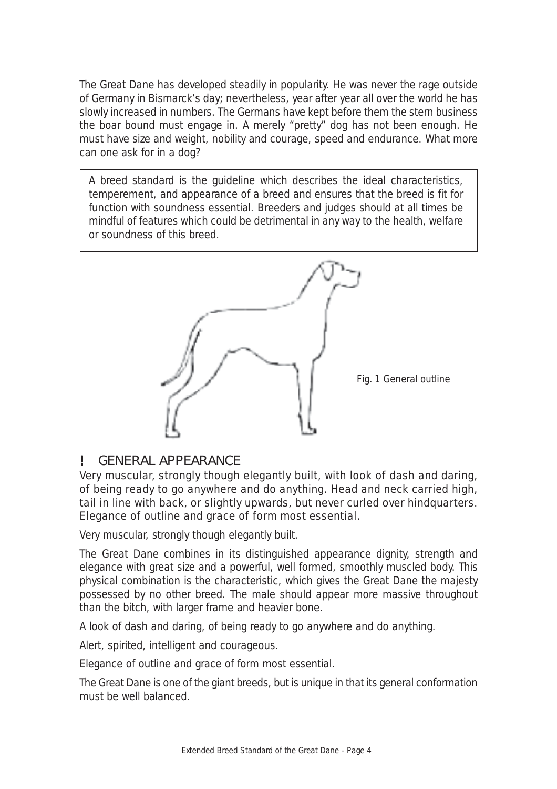The Great Dane has developed steadily in popularity. He was never the rage outside of Germany in Bismarck's day; nevertheless, year after year all over the world he has slowly increased in numbers. The Germans have kept before them the stern business the boar bound must engage in. A merely "pretty" dog has not been enough. He must have size and weight, nobility and courage, speed and endurance. What more can one ask for in a dog?

A breed standard is the guideline which describes the ideal characteristics, temperement, and appearance of a breed and ensures that the breed is fit for function with soundness essential. Breeders and judges should at all times be mindful of features which could be detrimental in any way to the health, welfare or soundness of this breed.



## ! GENERAL APPEARANCE

*Very muscular, strongly though elegantly built, with look of dash and daring, of being ready to go anywhere and do anything. Head and neck carried high, tail in line with back, or slightly upwards, but never curled over hindquarters. Elegance of outline and grace of form most essential.*

Very muscular, strongly though elegantly built.

The Great Dane combines in its distinguished appearance dignity, strength and elegance with great size and a powerful, well formed, smoothly muscled body. This physical combination is the characteristic, which gives the Great Dane the majesty possessed by no other breed. The male should appear more massive throughout than the bitch, with larger frame and heavier bone.

A look of dash and daring, of being ready to go anywhere and do anything.

Alert, spirited, intelligent and courageous.

Elegance of outline and grace of form most essential.

The Great Dane is one of the giant breeds, but is unique in that its general conformation must be well balanced.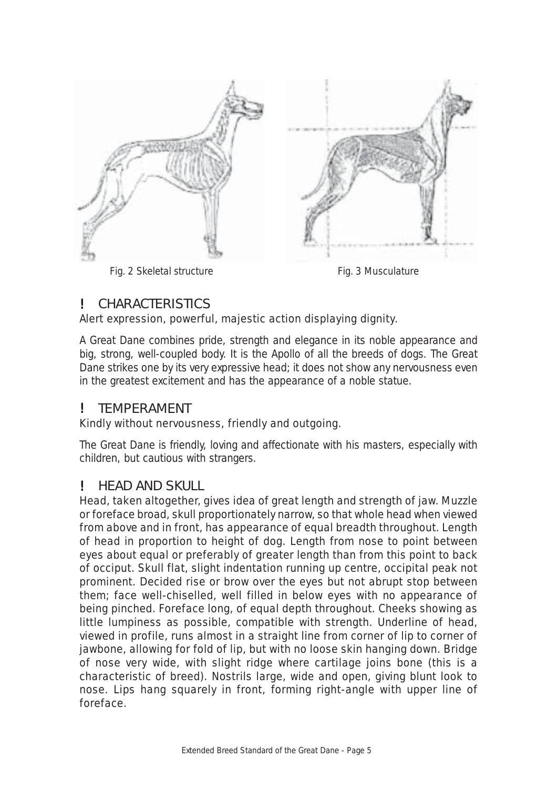

Fig. 2 Skeletal structure **Fig. 2 Skeletal** structure

## ! CHARACTERISTICS

## *Alert expression, powerful, majestic action displaying dignity.*

A Great Dane combines pride, strength and elegance in its noble appearance and big, strong, well-coupled body. It is the Apollo of all the breeds of dogs. The Great Dane strikes one by its very expressive head; it does not show any nervousness even in the greatest excitement and has the appearance of a noble statue.

## **TEMPERAMENT**

## *Kindly without nervousness, friendly and outgoing.*

The Great Dane is friendly, loving and affectionate with his masters, especially with children, but cautious with strangers.

## ! HEAD AND SKULL

*Head, taken altogether, gives idea of great length and strength of jaw. Muzzle or foreface broad, skull proportionately narrow, so that whole head when viewed from above and in front, has appearance of equal breadth throughout. Length of head in proportion to height of dog. Length from nose to point between eyes about equal or preferably of greater length than from this point to back of occiput. Skull flat, slight indentation running up centre, occipital peak not prominent. Decided rise or brow over the eyes but not abrupt stop between them; face well-chiselled, well filled in below eyes with no appearance of being pinched. Foreface long, of equal depth throughout. Cheeks showing as little lumpiness as possible, compatible with strength. Underline of head, viewed in profile, runs almost in a straight line from corner of lip to corner of jawbone, allowing for fold of lip, but with no loose skin hanging down. Bridge of nose very wide, with slight ridge where cartilage joins bone (this is a characteristic of breed). Nostrils large, wide and open, giving blunt look to nose. Lips hang squarely in front, forming right-angle with upper line of foreface.*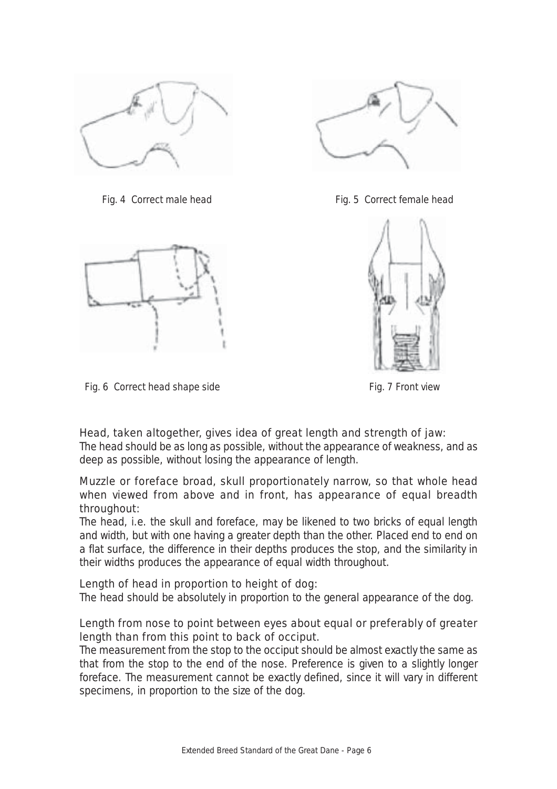



*Fig. 6 Correct head shape side Fig. 7 Front view*



*Fig. 4 Correct male head* Fig. 5 Correct female head



## *Head, taken altogether, gives idea of great length and strength of jaw:*

The head should be as long as possible, without the appearance of weakness, and as deep as possible, without losing the appearance of length.

#### *Muzzle or foreface broad, skull proportionately narrow, so that whole head when viewed from above and in front, has appearance of equal breadth throughout:*

The head, i.e. the skull and foreface, may be likened to two bricks of equal length and width, but with one having a greater depth than the other. Placed end to end on a flat surface, the difference in their depths produces the stop, and the similarity in their widths produces the appearance of equal width throughout.

#### *Length of head in proportion to height of dog:*

The head should be absolutely in proportion to the general appearance of the dog.

#### *Length from nose to point between eyes about equal or preferably of greater length than from this point to back of occiput.*

The measurement from the stop to the occiput should be almost exactly the same as that from the stop to the end of the nose. Preference is given to a slightly longer foreface. The measurement cannot be exactly defined, since it will vary in different specimens, in proportion to the size of the dog.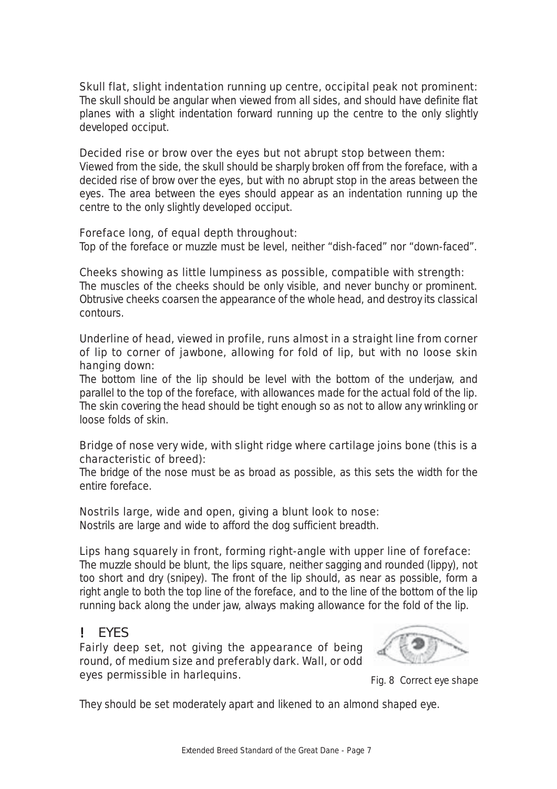## *Skull flat, slight indentation running up centre, occipital peak not prominent:*

The skull should be angular when viewed from all sides, and should have definite flat planes with a slight indentation forward running up the centre to the only slightly developed occiput.

#### *Decided rise or brow over the eyes but not abrupt stop between them*:

Viewed from the side, the skull should be sharply broken off from the foreface, with a decided rise of brow over the eyes, but with no abrupt stop in the areas between the eyes. The area between the eyes should appear as an indentation running up the centre to the only slightly developed occiput.

#### *Foreface long, of equal depth throughout:*

Top of the foreface or muzzle must be level, neither "dish-faced" nor "down-faced".

#### *Cheeks showing as little lumpiness as possible, compatible with strength:*

The muscles of the cheeks should be only visible, and never bunchy or prominent. Obtrusive cheeks coarsen the appearance of the whole head, and destroy its classical contours.

#### *Underline of head, viewed in profile, runs almost in a straight line from corner of lip to corner of jawbone, allowing for fold of lip, but with no loose skin hanging down:*

The bottom line of the lip should be level with the bottom of the underjaw, and parallel to the top of the foreface, with allowances made for the actual fold of the lip. The skin covering the head should be tight enough so as not to allow any wrinkling or loose folds of skin.

#### *Bridge of nose very wide, with slight ridge where cartilage joins bone (this is a characteristic of breed):*

The bridge of the nose must be as broad as possible, as this sets the width for the entire foreface.

#### *Nostrils large, wide and open, giving a blunt look to nose:*

Nostrils are large and wide to afford the dog sufficient breadth.

#### *Lips hang squarely in front, forming right-angle with upper line of foreface:*

The muzzle should be blunt, the lips square, neither sagging and rounded (lippy), not too short and dry (snipey). The front of the lip should, as near as possible, form a right angle to both the top line of the foreface, and to the line of the bottom of the lip running back along the under jaw, always making allowance for the fold of the lip.

## ! EYES

*Fairly deep set, not giving the appearance of being round, of medium size and preferably dark. Wall, or odd eyes permissible in harlequins.*



 *Fig. 8 Correct eye shape*

They should be set moderately apart and likened to an almond shaped eye.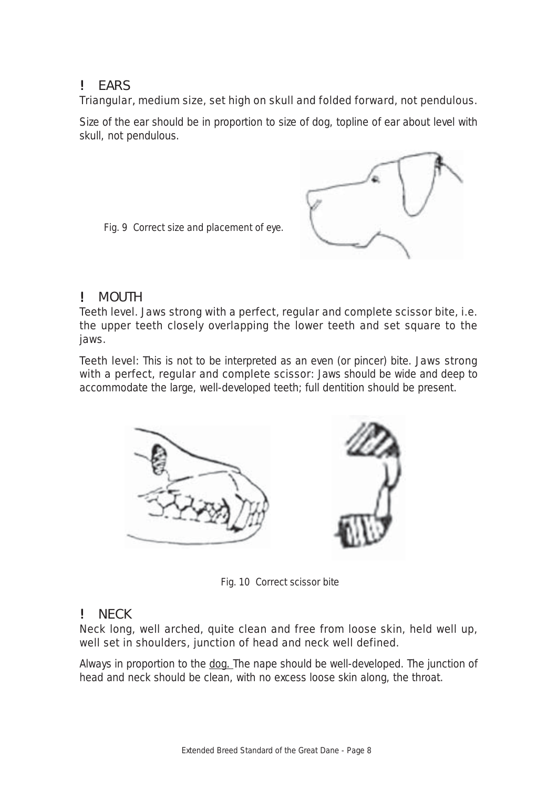## ! EARS

## *Triangular*, *medium size, set high on skull and folded forward, not pendulous.*

Size of the ear should be in proportion to size of dog, topline of ear about level with skull, not pendulous.



 *Fig. 9 Correct size and placement of eye.*

## ! MOUTH

*Teeth level. Jaws strong with a perfect, regular and complete scissor bite, i.e. the upper teeth closely overlapping the lower teeth and set square to the jaws.*

*Teeth level:* This is not to be interpreted as an even (or pincer) bite. *Jaws strong with a perfect, regular and complete scissor:* Jaws should be wide and deep to accommodate the large, well-developed teeth; full dentition should be present.



 *Fig. 10 Correct scissor bite*

## NECK

#### *Neck long, well arched, quite clean and free from loose skin, held well up, well set in shoulders, junction of head and neck well defined.*

Always in proportion to the dog. The nape should be well-developed. The junction of head and neck should be clean, with no excess loose skin along, the throat.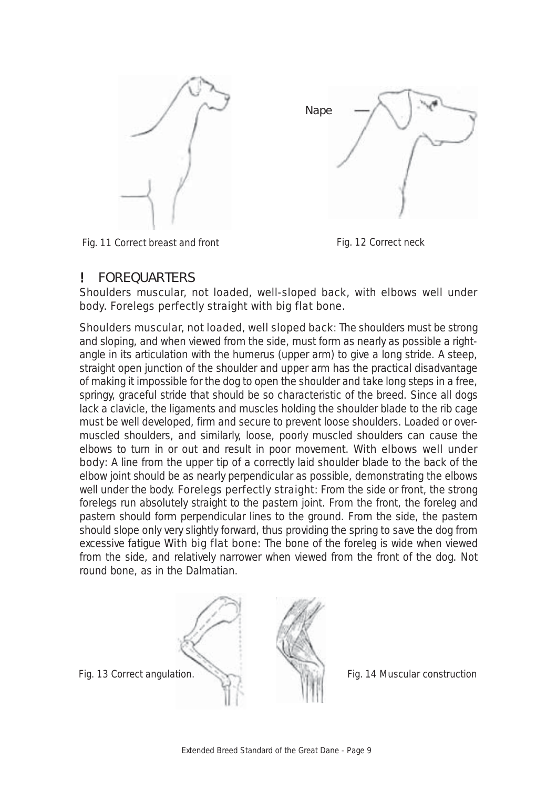

 *Fig. 11 Correct breast and front Fig. 12 Correct neck*



#### ! FOREQUARTERS

#### *Shoulders muscular, not loaded, well-sloped back, with elbows well under body. Forelegs perfectly straight with big flat bone.*

*Shoulders muscular, not loaded, well sloped back:* The shoulders must be strong and sloping, and when viewed from the side, must form as nearly as possible a rightangle in its articulation with the humerus (upper arm) to give a long stride. A steep, straight open junction of the shoulder and upper arm has the practical disadvantage of making it impossible for the dog to open the shoulder and take long steps in a free, springy, graceful stride that should be so characteristic of the breed. Since all dogs lack a clavicle, the ligaments and muscles holding the shoulder blade to the rib cage must be well developed, firm and secure to prevent loose shoulders. Loaded or overmuscled shoulders, and similarly, loose, poorly muscled shoulders can cause the elbows to turn in or out and result in poor movement. *With elbows well under* **body:** A line from the upper tip of a correctly laid shoulder blade to the back of the elbow joint should be as nearly perpendicular as possible, demonstrating the elbows well under the body. *Forelegs perfectly straight:* From the side or front, the strong forelegs run absolutely straight to the pastern joint. From the front, the foreleg and pastern should form perpendicular lines to the ground. From the side, the pastern should slope only very slightly forward, thus providing the spring to save the dog from excessive fatigue *With big flat bone:* The bone of the foreleg is wide when viewed from the side, and relatively narrower when viewed from the front of the dog. Not round bone, as in the Dalmatian.



 *Fig. 14 Muscular construction*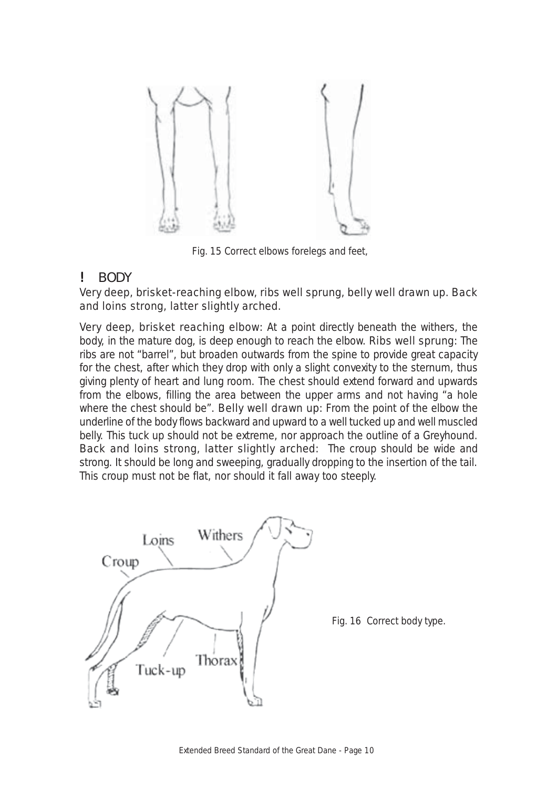

 *Fig. 15 Correct elbows forelegs and feet,*

#### ! BODY

#### *Very deep, brisket-reaching elbow, ribs well sprung, belly well drawn up. Back and loins strong, latter slightly arched.*

*Very deep, brisket reaching elbow:* At a point directly beneath the withers, the body, in the mature dog, is deep enough to reach the elbow. *Ribs well sprung:* The ribs are not "barrel", but broaden outwards from the spine to provide great capacity for the chest, after which they drop with only a slight convexity to the sternum, thus giving plenty of heart and lung room. The chest should extend forward and upwards from the elbows, filling the area between the upper arms and not having "a hole where the chest should be". *Belly well drawn up:* From the point of the elbow the underline of the body flows backward and upward to a well tucked up and well muscled belly. This tuck up should not be extreme, nor approach the outline of a Greyhound. *Back and loins strong, latter slightly arched:* The croup should be wide and strong. It should be long and sweeping, gradually dropping to the insertion of the tail. This croup must not be flat, nor should it fall away too steeply.

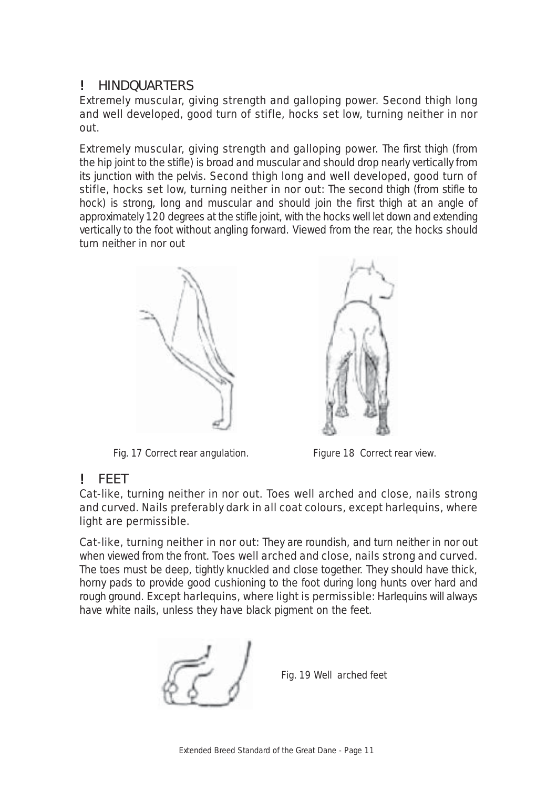## ! HINDQUARTERS

*Extremely muscular, giving strength and galloping power. Second thigh long and well developed, good turn of stifle, hocks set low, turning neither in nor out.*

*Extremely muscular, giving strength and galloping power.* The first thigh (from the hip joint to the stifle) is broad and muscular and should drop nearly vertically from its junction with the pelvis. *Second thigh long and well developed, good turn of stifle, hocks set low, turning neither in nor out:* The second thigh (from stifle to hock) is strong, long and muscular and should join the first thigh at an angle of approximately 120 degrees at the stifle joint, with the hocks well let down and extending vertically to the foot without angling forward. Viewed from the rear, the hocks should turn neither in nor out



*Fig. 17 Correct rear angulation. Figure 18 Correct rear view.*



## ! FEET

*Cat-like, turning neither in nor out. Toes well arched and close, nails strong and curved. Nails preferably dark in all coat colours, except harlequins, where light are permissible.*

*Cat-like, turning neither in nor out:* They are roundish, and turn neither in nor out when viewed from the front. *Toes well arched and close, nails strong and curved.* The toes must be deep, tightly knuckled and close together. They should have thick, horny pads to provide good cushioning to the foot during long hunts over hard and rough ground. *Except harlequins, where light is permissible:* Harlequins will always have white nails, unless they have black pigment on the feet.



 *Fig. 19 Well arched feet*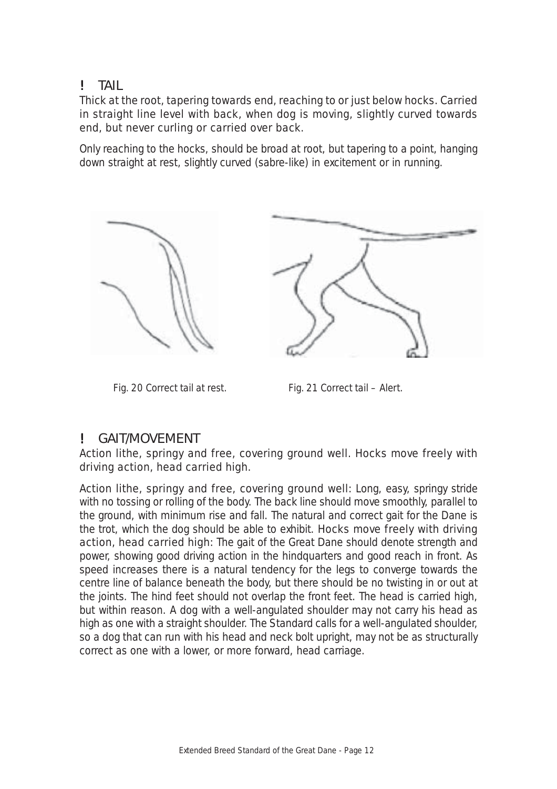## ! TAIL

#### *Thick at the root, tapering towards end, reaching to or just below hocks. Carried in straight line level with back, when dog is moving, slightly curved towards end, but never curling or carried over back.*

Only reaching to the hocks, should be broad at root, but tapering to a point, hanging down straight at rest, slightly curved (sabre-like) in excitement or in running.



*Fig. 20 Correct tail at rest. Fig. 21 Correct tail – Alert.*

## ! GAIT/MOVEMENT

*Action lithe, springy and free, covering ground well. Hocks move freely with driving action, head carried high.*

*Action lithe, springy and free, covering ground well:* Long, easy, springy stride with no tossing or rolling of the body. The back line should move smoothly, parallel to the ground, with minimum rise and fall. The natural and correct gait for the Dane is the trot, which the dog should be able to exhibit. *Hocks move freely with driving action, head carried high:* The gait of the Great Dane should denote strength and power, showing good driving action in the hindquarters and good reach in front. As speed increases there is a natural tendency for the legs to converge towards the centre line of balance beneath the body, but there should be no twisting in or out at the joints. The hind feet should not overlap the front feet. The head is carried high, but within reason. A dog with a well-angulated shoulder may not carry his head as high as one with a straight shoulder. The Standard calls for a well-angulated shoulder, so a dog that can run with his head and neck bolt upright, may not be as structurally correct as one with a lower, or more forward, head carriage.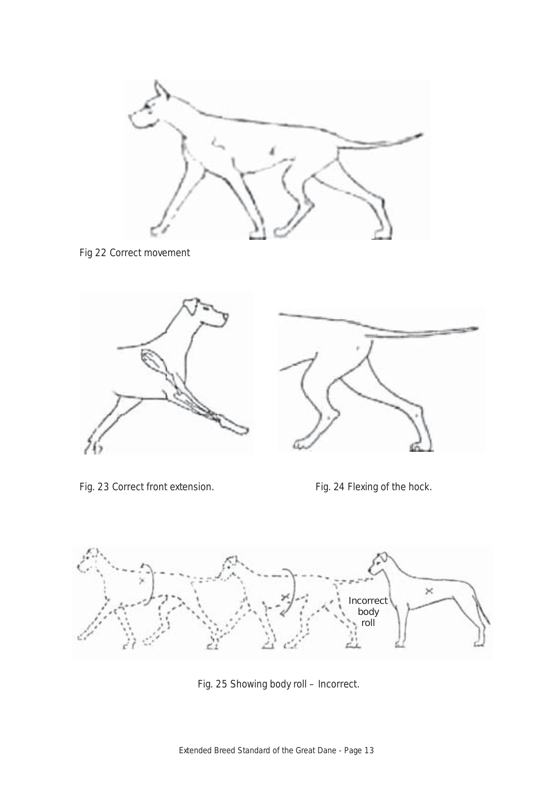

*Fig 22 Correct movement*



*Fig. 23 Correct front extension. Fig. 24 Flexing of the hock.*



*Fig. 25 Showing body roll – Incorrect.*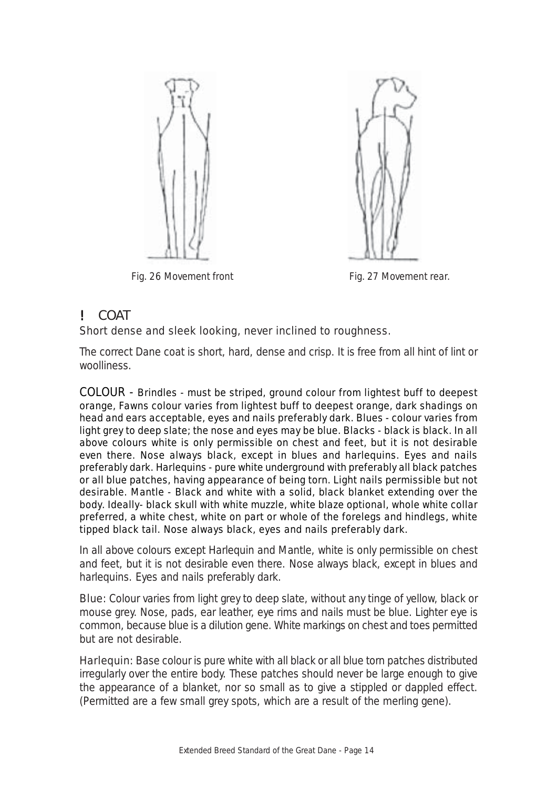

*Fig. 26 Movement front* Fig. 27 Movement rear.



## ! COAT

#### *Short dense and sleek looking, never inclined to roughness.*

The correct Dane coat is short, hard, dense and crisp. It is free from all hint of lint or woolliness.

*COLOUR - Brindles - must be striped, ground colour from lightest buff to deepest orange, Fawns colour varies from lightest buff to deepest orange, dark shadings on head and ears acceptable, eyes and nails preferably dark. Blues - colour varies from light grey to deep slate; the nose and eyes may be blue. Blacks - black is black. In all above colours white is only permissible on chest and feet, but it is not desirable even there. Nose always black, except in blues and harlequins. Eyes and nails preferably dark. Harlequins - pure white underground with preferably all black patches or all blue patches, having appearance of being torn. Light nails permissible but not desirable. Mantle - Black and white with a solid, black blanket extending over the body. Ideally- black skull with white muzzle, white blaze optional, whole white collar preferred, a white chest, white on part or whole of the forelegs and hindlegs, white tipped black tail. Nose always black, eyes and nails preferably dark.*

In all above colours except Harlequin and Mantle, white is only permissible on chest and feet, but it is not desirable even there. Nose always black, except in blues and harlequins. Eyes and nails preferably dark.

**Blue:** Colour varies from light grey to deep slate, without any tinge of yellow, black or mouse grey. Nose, pads, ear leather, eye rims and nails must be blue. Lighter eye is common, because blue is a dilution gene. White markings on chest and toes permitted but are not desirable.

*Harlequin:* Base colour is pure white with all black or all blue torn patches distributed irregularly over the entire body. These patches should never be large enough to give the appearance of a blanket, nor so small as to give a stippled or dappled effect. (Permitted are a few small grey spots, which are a result of the merling gene).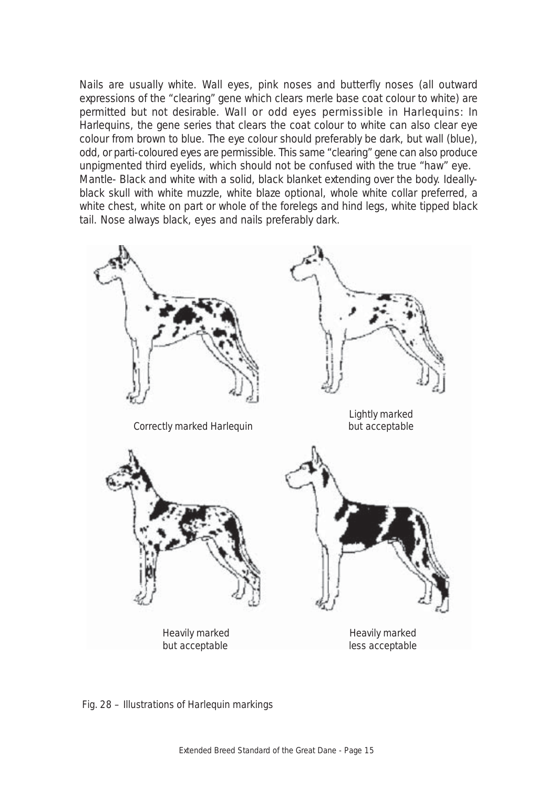Nails are usually white. Wall eyes, pink noses and butterfly noses (all outward expressions of the "clearing" gene which clears merle base coat colour to white) are permitted but not desirable. *Wall or odd eyes permissible in Harlequins:* In Harlequins, the gene series that clears the coat colour to white can also clear eye colour from brown to blue. The eye colour should preferably be dark, but wall (blue), odd, or parti-coloured eyes are permissible. This same "clearing" gene can also produce unpigmented third eyelids, which should not be confused with the true "haw" eye. Mantle- Black and white with a solid, black blanket extending over the body. Ideallyblack skull with white muzzle, white blaze optional, whole white collar preferred, a white chest, white on part or whole of the forelegs and hind legs, white tipped black tail. Nose always black, eyes and nails preferably dark.



 *Fig. 28 – Illustrations of Harlequin markings*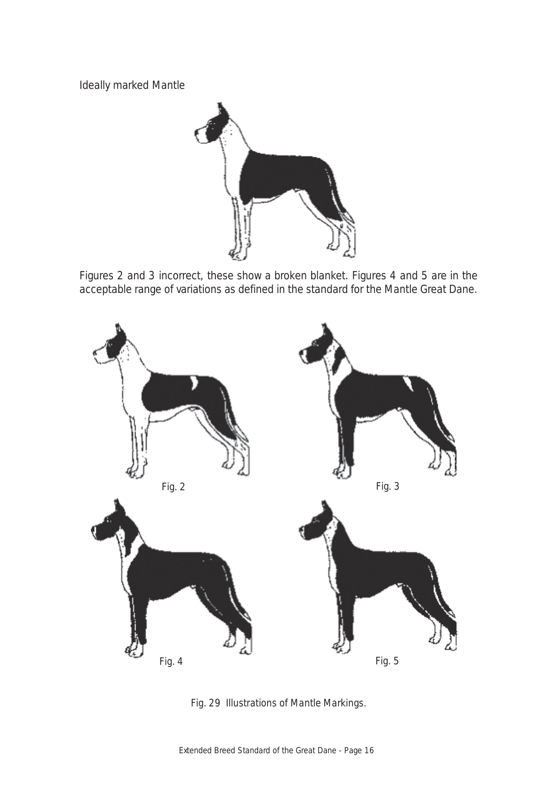Ideally marked Mantle



Figures 2 and 3 incorrect, these show a broken blanket. Figures 4 and 5 are in the acceptable range of variations as defined in the standard for the Mantle Great Dane.



*Fig. 29 Illustrations of Mantle Markings.*